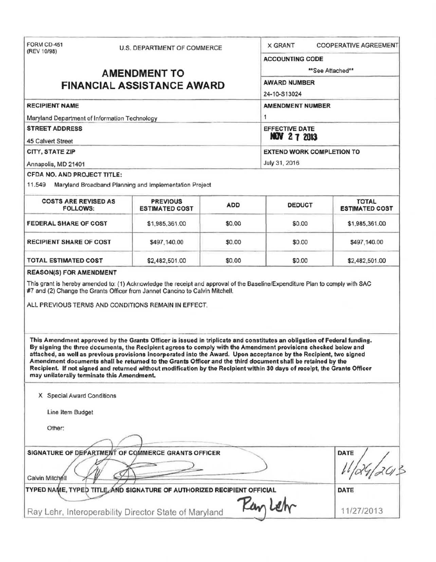| FORM CD-451<br>(REV 10/98)                                                                                                                                                                                                                                                                                                            |                                    |                                                        |                                                |                                                                                                                                                                                                                                                                                                                                                                                                                                                                                                                                                                                                             |                                       |  |
|---------------------------------------------------------------------------------------------------------------------------------------------------------------------------------------------------------------------------------------------------------------------------------------------------------------------------------------|------------------------------------|--------------------------------------------------------|------------------------------------------------|-------------------------------------------------------------------------------------------------------------------------------------------------------------------------------------------------------------------------------------------------------------------------------------------------------------------------------------------------------------------------------------------------------------------------------------------------------------------------------------------------------------------------------------------------------------------------------------------------------------|---------------------------------------|--|
|                                                                                                                                                                                                                                                                                                                                       | <b>U.S. DEPARTMENT OF COMMERCE</b> |                                                        | <b>COOPERATIVE AGREEMENT</b><br><b>X GRANT</b> |                                                                                                                                                                                                                                                                                                                                                                                                                                                                                                                                                                                                             |                                       |  |
|                                                                                                                                                                                                                                                                                                                                       |                                    |                                                        |                                                | <b>ACCOUNTING CODE</b>                                                                                                                                                                                                                                                                                                                                                                                                                                                                                                                                                                                      |                                       |  |
| <b>AMENDMENT TO</b>                                                                                                                                                                                                                                                                                                                   |                                    |                                                        |                                                | **See Attached**                                                                                                                                                                                                                                                                                                                                                                                                                                                                                                                                                                                            |                                       |  |
| <b>FINANCIAL ASSISTANCE AWARD</b>                                                                                                                                                                                                                                                                                                     |                                    |                                                        |                                                | <b>AWARD NUMBER</b>                                                                                                                                                                                                                                                                                                                                                                                                                                                                                                                                                                                         |                                       |  |
|                                                                                                                                                                                                                                                                                                                                       |                                    |                                                        |                                                | 24-10-S13024                                                                                                                                                                                                                                                                                                                                                                                                                                                                                                                                                                                                |                                       |  |
| <b>RECIPIENT NAME</b>                                                                                                                                                                                                                                                                                                                 |                                    |                                                        |                                                | <b>AMENDMENT NUMBER</b>                                                                                                                                                                                                                                                                                                                                                                                                                                                                                                                                                                                     |                                       |  |
| Maryland Department of Information Technology                                                                                                                                                                                                                                                                                         |                                    |                                                        |                                                | $\mathbf{1}$                                                                                                                                                                                                                                                                                                                                                                                                                                                                                                                                                                                                |                                       |  |
| <b>STREET ADDRESS</b>                                                                                                                                                                                                                                                                                                                 |                                    |                                                        |                                                | <b>EFFECTIVE DATE</b><br><b>NOV 27 2013</b>                                                                                                                                                                                                                                                                                                                                                                                                                                                                                                                                                                 |                                       |  |
| <b>45 Calvert Street</b>                                                                                                                                                                                                                                                                                                              |                                    |                                                        |                                                |                                                                                                                                                                                                                                                                                                                                                                                                                                                                                                                                                                                                             |                                       |  |
| CITY, STATE ZIP                                                                                                                                                                                                                                                                                                                       |                                    |                                                        |                                                | <b>EXTEND WORK COMPLETION TO</b>                                                                                                                                                                                                                                                                                                                                                                                                                                                                                                                                                                            |                                       |  |
| Annapolis, MD 21401                                                                                                                                                                                                                                                                                                                   |                                    |                                                        |                                                | July 31, 2016                                                                                                                                                                                                                                                                                                                                                                                                                                                                                                                                                                                               |                                       |  |
| CFDA NO. AND PROJECT TITLE:                                                                                                                                                                                                                                                                                                           |                                    |                                                        |                                                |                                                                                                                                                                                                                                                                                                                                                                                                                                                                                                                                                                                                             |                                       |  |
| 11.549                                                                                                                                                                                                                                                                                                                                |                                    | Maryland Broadband Planning and Implementation Project |                                                |                                                                                                                                                                                                                                                                                                                                                                                                                                                                                                                                                                                                             |                                       |  |
| <b>COSTS ARE REVISED AS</b><br><b>FOLLOWS:</b>                                                                                                                                                                                                                                                                                        |                                    | <b>PREVIOUS</b><br><b>ESTIMATED COST</b>               | <b>ADD</b>                                     | <b>DEDUCT</b>                                                                                                                                                                                                                                                                                                                                                                                                                                                                                                                                                                                               | <b>TOTAL</b><br><b>ESTIMATED COST</b> |  |
| <b>FEDERAL SHARE OF COST</b>                                                                                                                                                                                                                                                                                                          |                                    | \$1,985,361.00                                         | \$0.00                                         | \$0.00                                                                                                                                                                                                                                                                                                                                                                                                                                                                                                                                                                                                      | \$1,985,361.00                        |  |
| <b>RECIPIENT SHARE OF COST</b>                                                                                                                                                                                                                                                                                                        |                                    | \$497,140.00                                           | \$0.00                                         | \$0.00                                                                                                                                                                                                                                                                                                                                                                                                                                                                                                                                                                                                      | \$497,140.00                          |  |
|                                                                                                                                                                                                                                                                                                                                       |                                    |                                                        |                                                |                                                                                                                                                                                                                                                                                                                                                                                                                                                                                                                                                                                                             |                                       |  |
| <b>TOTAL ESTIMATED COST</b><br><b>REASON(S) FOR AMENDMENT</b><br>This grant is hereby amended to: (1) Acknowledge the receipt and approval of the Baseline/Expenditure Plan to comply with SAC<br>#7 and (2) Change the Grants Officer from Jannet Cancino to Calvin Mitchell.<br>ALL PREVIOUS TERMS AND CONDITIONS REMAIN IN EFFECT. |                                    | \$2,482,501.00                                         | \$0.00                                         | \$0.00                                                                                                                                                                                                                                                                                                                                                                                                                                                                                                                                                                                                      | \$2,482,501.00                        |  |
| may unilaterally terminate this Amendment.                                                                                                                                                                                                                                                                                            |                                    |                                                        |                                                | This Amendment approved by the Grants Officer is issued in triplicate and constitutes an obligation of Federal funding.<br>By signing the three documents, the Recipient agrees to comply with the Amendment provisions checked below and<br>attached, as well as previous provisions incorporated into the Award. Upon acceptance by the Recipient, two signed<br>Amendment documents shall be returned to the Grants Officer and the third document shall be retained by the<br>Recipient. If not signed and returned without modification by the Recipient within 30 days of receipt, the Grants Officer |                                       |  |
| X Special Award Conditions                                                                                                                                                                                                                                                                                                            |                                    |                                                        |                                                |                                                                                                                                                                                                                                                                                                                                                                                                                                                                                                                                                                                                             |                                       |  |
| Line Item Budget                                                                                                                                                                                                                                                                                                                      |                                    |                                                        |                                                |                                                                                                                                                                                                                                                                                                                                                                                                                                                                                                                                                                                                             |                                       |  |
| Other:                                                                                                                                                                                                                                                                                                                                |                                    |                                                        |                                                |                                                                                                                                                                                                                                                                                                                                                                                                                                                                                                                                                                                                             |                                       |  |
|                                                                                                                                                                                                                                                                                                                                       |                                    |                                                        |                                                |                                                                                                                                                                                                                                                                                                                                                                                                                                                                                                                                                                                                             |                                       |  |
| SIGNATURE OF DEPARTMENT OF COMMERCE GRANTS OFFICER                                                                                                                                                                                                                                                                                    |                                    |                                                        |                                                |                                                                                                                                                                                                                                                                                                                                                                                                                                                                                                                                                                                                             | DATE                                  |  |
| Calvin Mitchell                                                                                                                                                                                                                                                                                                                       |                                    |                                                        |                                                |                                                                                                                                                                                                                                                                                                                                                                                                                                                                                                                                                                                                             |                                       |  |
| TYPED NAME, TYPED TITLE AND SIGNATURE OF AUTHORIZED RECIPIENT OFFICIAL                                                                                                                                                                                                                                                                |                                    |                                                        | Kar                                            |                                                                                                                                                                                                                                                                                                                                                                                                                                                                                                                                                                                                             | DATE                                  |  |